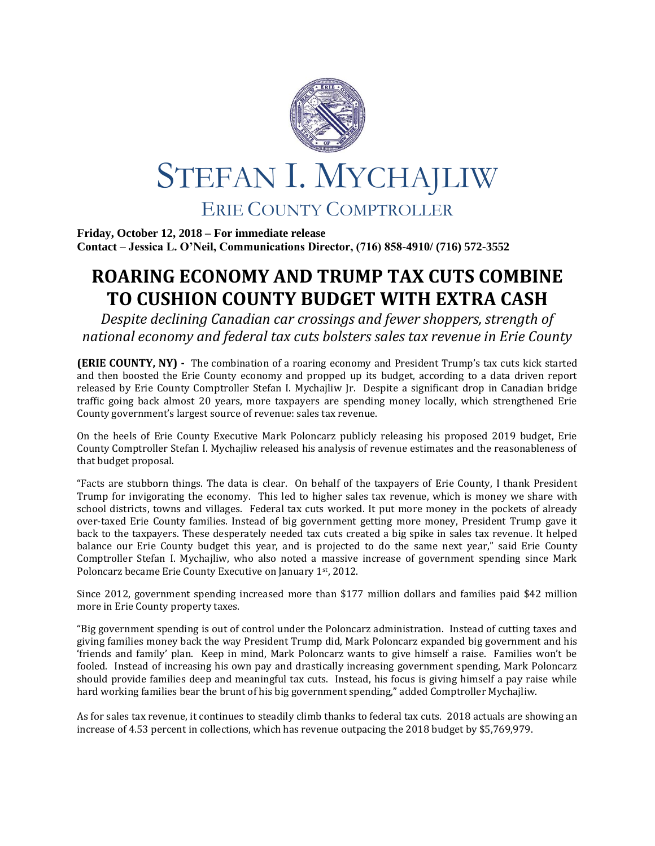

**Friday, October 12, 2018 – For immediate release Contact – Jessica L. O'Neil, Communications Director, (716) 858-4910/ (716) 572-3552**

## **ROARING ECONOMY AND TRUMP TAX CUTS COMBINE TO CUSHION COUNTY BUDGET WITH EXTRA CASH**

*Despite declining Canadian car crossings and fewer shoppers, strength of national economy and federal tax cuts bolsters sales tax revenue in Erie County*

**(ERIE COUNTY, NY) -** The combination of a roaring economy and President Trump's tax cuts kick started and then boosted the Erie County economy and propped up its budget, according to a data driven report released by Erie County Comptroller Stefan I. Mychajliw Jr. Despite a significant drop in Canadian bridge traffic going back almost 20 years, more taxpayers are spending money locally, which strengthened Erie County government's largest source of revenue: sales tax revenue.

On the heels of Erie County Executive Mark Poloncarz publicly releasing his proposed 2019 budget, Erie County Comptroller Stefan I. Mychajliw released his analysis of revenue estimates and the reasonableness of that budget proposal.

"Facts are stubborn things. The data is clear. On behalf of the taxpayers of Erie County, I thank President Trump for invigorating the economy. This led to higher sales tax revenue, which is money we share with school districts, towns and villages. Federal tax cuts worked. It put more money in the pockets of already over-taxed Erie County families. Instead of big government getting more money, President Trump gave it back to the taxpayers. These desperately needed tax cuts created a big spike in sales tax revenue. It helped balance our Erie County budget this year, and is projected to do the same next year," said Erie County Comptroller Stefan I. Mychajliw, who also noted a massive increase of government spending since Mark Poloncarz became Erie County Executive on January 1st, 2012.

Since 2012, government spending increased more than \$177 million dollars and families paid \$42 million more in Erie County property taxes.

"Big government spending is out of control under the Poloncarz administration. Instead of cutting taxes and giving families money back the way President Trump did, Mark Poloncarz expanded big government and his 'friends and family' plan. Keep in mind, Mark Poloncarz wants to give himself a raise. Families won't be fooled. Instead of increasing his own pay and drastically increasing government spending, Mark Poloncarz should provide families deep and meaningful tax cuts. Instead, his focus is giving himself a pay raise while hard working families bear the brunt of his big government spending," added Comptroller Mychajliw.

As for sales tax revenue, it continues to steadily climb thanks to federal tax cuts. 2018 actuals are showing an increase of 4.53 percent in collections, which has revenue outpacing the 2018 budget by \$5,769,979.